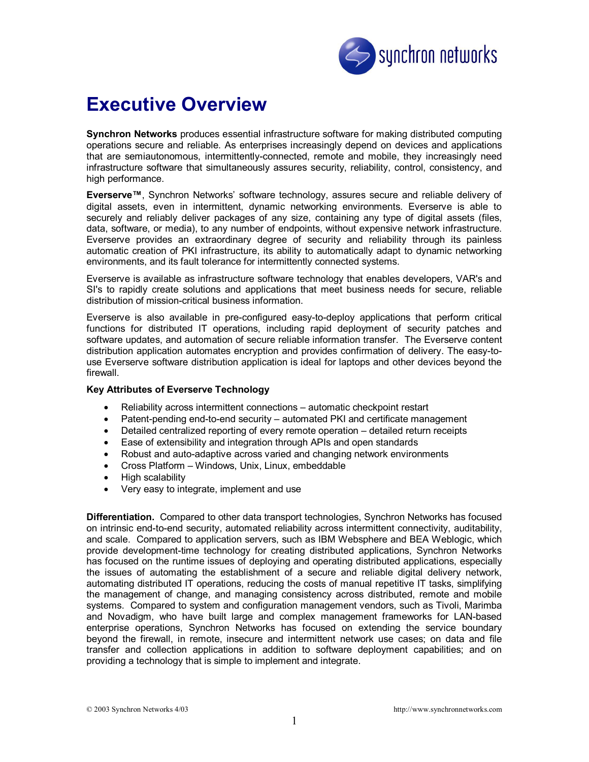

# **Executive Overview**

**Synchron Networks** produces essential infrastructure software for making distributed computing operations secure and reliable. As enterprises increasingly depend on devices and applications that are semiautonomous, intermittently-connected, remote and mobile, they increasingly need infrastructure software that simultaneously assures security, reliability, control, consistency, and high performance.

**Everserve™**, Synchron Networks' software technology, assures secure and reliable delivery of digital assets, even in intermittent, dynamic networking environments. Everserve is able to securely and reliably deliver packages of any size, containing any type of digital assets (files, data, software, or media), to any number of endpoints, without expensive network infrastructure. Everserve provides an extraordinary degree of security and reliability through its painless automatic creation of PKI infrastructure, its ability to automatically adapt to dynamic networking environments, and its fault tolerance for intermittently connected systems.

Everserve is available as infrastructure software technology that enables developers, VAR's and SI's to rapidly create solutions and applications that meet business needs for secure, reliable distribution of mission-critical business information.

Everserve is also available in pre-configured easy-to-deploy applications that perform critical functions for distributed IT operations, including rapid deployment of security patches and software updates, and automation of secure reliable information transfer. The Everserve content distribution application automates encryption and provides confirmation of delivery. The easy-touse Everserve software distribution application is ideal for laptops and other devices beyond the firewall.

## **Key Attributes of Everserve Technology**

- Reliability across intermittent connections automatic checkpoint restart
- Patent-pending end-to-end security automated PKI and certificate management
- Detailed centralized reporting of every remote operation detailed return receipts
- Ease of extensibility and integration through APIs and open standards
- Robust and auto-adaptive across varied and changing network environments
- Cross Platform Windows, Unix, Linux, embeddable
- High scalability
- Very easy to integrate, implement and use

**Differentiation.** Compared to other data transport technologies, Synchron Networks has focused on intrinsic end-to-end security, automated reliability across intermittent connectivity, auditability, and scale. Compared to application servers, such as IBM Websphere and BEA Weblogic, which provide development-time technology for creating distributed applications, Synchron Networks has focused on the runtime issues of deploying and operating distributed applications, especially the issues of automating the establishment of a secure and reliable digital delivery network, automating distributed IT operations, reducing the costs of manual repetitive IT tasks, simplifying the management of change, and managing consistency across distributed, remote and mobile systems. Compared to system and configuration management vendors, such as Tivoli, Marimba and Novadigm, who have built large and complex management frameworks for LAN-based enterprise operations, Synchron Networks has focused on extending the service boundary beyond the firewall, in remote, insecure and intermittent network use cases; on data and file transfer and collection applications in addition to software deployment capabilities; and on providing a technology that is simple to implement and integrate.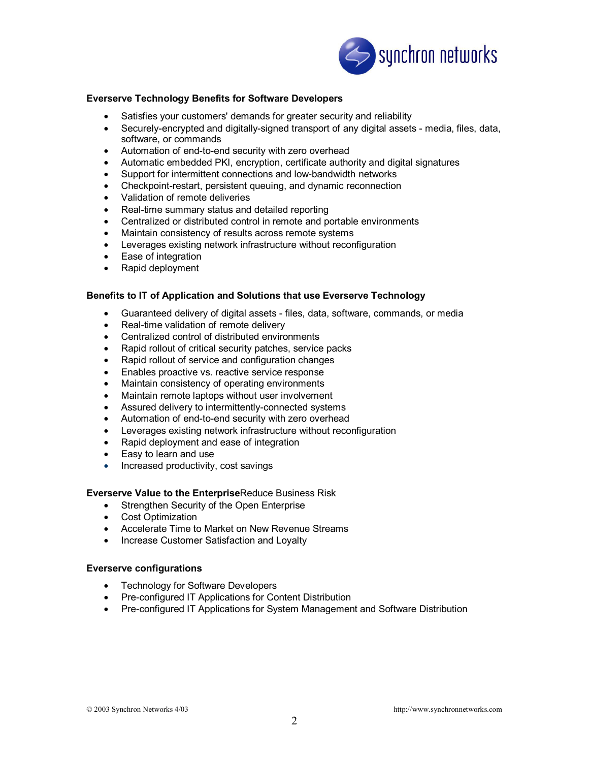

## **Everserve Technology Benefits for Software Developers**

- Satisfies your customers' demands for greater security and reliability
- Securely-encrypted and digitally-signed transport of any digital assets media, files, data, software, or commands
- Automation of end-to-end security with zero overhead
- Automatic embedded PKI, encryption, certificate authority and digital signatures
- Support for intermittent connections and low-bandwidth networks
- Checkpoint-restart, persistent queuing, and dynamic reconnection
- Validation of remote deliveries
- Real-time summary status and detailed reporting
- Centralized or distributed control in remote and portable environments
- Maintain consistency of results across remote systems
- Leverages existing network infrastructure without reconfiguration
- Ease of integration
- Rapid deployment

#### **Benefits to IT of Application and Solutions that use Everserve Technology**

- Guaranteed delivery of digital assets files, data, software, commands, or media
- Real-time validation of remote delivery
- Centralized control of distributed environments
- Rapid rollout of critical security patches, service packs
- Rapid rollout of service and configuration changes
- Enables proactive vs. reactive service response
- Maintain consistency of operating environments
- Maintain remote laptops without user involvement
- Assured delivery to intermittently-connected systems
- Automation of end-to-end security with zero overhead
- Leverages existing network infrastructure without reconfiguration
- Rapid deployment and ease of integration
- Easy to learn and use
- Increased productivity, cost savings

#### **Everserve Value to the Enterprise**Reduce Business Risk

- Strengthen Security of the Open Enterprise
- Cost Optimization
- Accelerate Time to Market on New Revenue Streams
- Increase Customer Satisfaction and Loyalty

#### **Everserve configurations**

- Technology for Software Developers
- Pre-configured IT Applications for Content Distribution
- Pre-configured IT Applications for System Management and Software Distribution